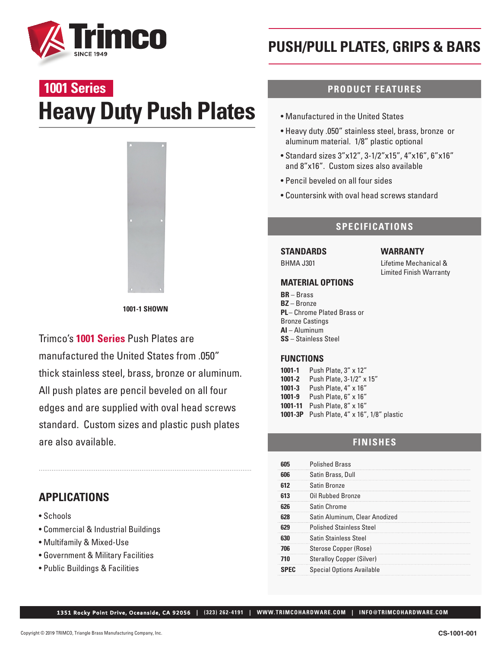

# **Heavy Duty Push Plates 1001 Series**



**1001-1 SHOWN**

Trimco's **1001 Series** Push Plates are manufactured the United States from .050" thick stainless steel, brass, bronze or aluminum. All push plates are pencil beveled on all four edges and are supplied with oval head screws standard. Custom sizes and plastic push plates are also available.

# **APPLICATIONS**

- Schools
- Commercial & Industrial Buildings
- Multifamily & Mixed-Use
- Government & Military Facilities
- Public Buildings & Facilities

# **PUSH/PULL PLATES, GRIPS & BARS**

## **PRODUCT FEATURES**

- Manufactured in the United States
- Heavy duty .050" stainless steel, brass, bronze or aluminum material. 1/8" plastic optional
- Standard sizes 3"x12", 3-1/2"x15", 4"x16", 6"x16" and 8"x16". Custom sizes also available
- Pencil beveled on all four sides
- Countersink with oval head screws standard

## **SPECIFICATIONS**

**WARRANTY**

Lifetime Mechanical & Limited Finish Warranty

# **STANDARDS**

BHMA J301

### **MATERIAL OPTIONS**

**BR** – Brass **BZ** – Bronze **PL** – Chrome Plated Brass or Bronze Castings **AI** – Aluminum **SS** – Stainless Steel

#### **FUNCTIONS**

**1001-1** Push Plate, 3" x 12" **1001-2** Push Plate, 3-1/2" x 15" **1001-3** Push Plate, 4" x 16" **1001-9** Push Plate, 6" x 16" **1001-11** Push Plate, 8" x 16" **1001-3P** Push Plate, 4" x 16", 1/8" plastic

# **FINISHES**

|     | <b>Polished Brass</b>            |
|-----|----------------------------------|
|     | Satin Brass, Dull                |
|     | Satin Bronze                     |
| 613 | Oil Rubbed Bronze                |
| 626 | Satin Chrome                     |
|     | Satin Aluminum, Clear Anodized   |
|     | <b>Polished Stainless Steel</b>  |
|     | <b>Satin Stainless Steel</b>     |
| 706 | Sterose Copper (Rose)            |
|     | <b>Steralloy Copper (Silver)</b> |
|     | <b>Special Options Available</b> |

1351 Rocky Point Drive, Oceanside, CA 92056 **| (323) 262-4191 | WWW.TRIMCOHARDWARE.COM | INFO@TRIMCOHARDWARE.COM**